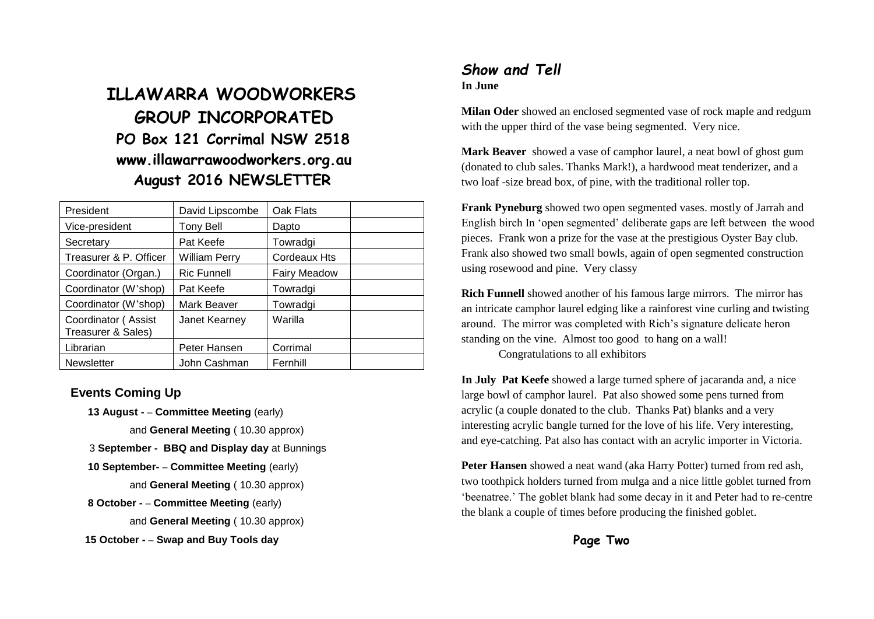# **ILLAWARRA WOODWORKERS GROUP INCORPORATED PO Box 121 Corrimal NSW 2518 www.illawarrawoodworkers.org.au August 2016 NEWSLETTER**

| President                                 | David Lipscombe      | Oak Flats           |  |
|-------------------------------------------|----------------------|---------------------|--|
| Vice-president                            | Tony Bell            | Dapto               |  |
| Secretary                                 | Pat Keefe            | Towradgi            |  |
| Treasurer & P. Officer                    | <b>William Perry</b> | <b>Cordeaux Hts</b> |  |
| Coordinator (Organ.)                      | <b>Ric Funnell</b>   | <b>Fairy Meadow</b> |  |
| Coordinator (W'shop)                      | Pat Keefe            | Towradgi            |  |
| Coordinator (W'shop)                      | Mark Beaver          | Towradgi            |  |
| Coordinator (Assist<br>Treasurer & Sales) | Janet Kearney        | Warilla             |  |
| Librarian                                 | Peter Hansen         | Corrimal            |  |
| <b>Newsletter</b>                         | John Cashman         | Fernhill            |  |

#### **Events Coming Up**

- **13 August - – Committee Meeting** (early)
	- and **General Meeting** ( 10.30 approx)
- 3 **September - BBQ and Display day** at Bunnings
- **10 September- – Committee Meeting** (early)
	- and **General Meeting** ( 10.30 approx)
- **8 October - – Committee Meeting** (early)
	- and **General Meeting** ( 10.30 approx)
- **15 October - – Swap and Buy Tools day**

### *Show and Tell* **In June**

**Milan Oder** showed an enclosed segmented vase of rock maple and redgum with the upper third of the vase being segmented. Very nice.

**Mark Beaver** showed a vase of camphor laurel, a neat bowl of ghost gum (donated to club sales. Thanks Mark!), a hardwood meat tenderizer, and a two loaf -size bread box, of pine, with the traditional roller top.

**Frank Pyneburg** showed two open segmented vases. mostly of Jarrah and English birch In 'open segmented' deliberate gaps are left between the wood pieces. Frank won a prize for the vase at the prestigious Oyster Bay club. Frank also showed two small bowls, again of open segmented construction using rosewood and pine. Very classy

**Rich Funnell** showed another of his famous large mirrors. The mirror has an intricate camphor laurel edging like a rainforest vine curling and twisting around. The mirror was completed with Rich's signature delicate heron standing on the vine. Almost too good to hang on a wall!

Congratulations to all exhibitors

**In July Pat Keefe** showed a large turned sphere of jacaranda and, a nice large bowl of camphor laurel. Pat also showed some pens turned from acrylic (a couple donated to the club. Thanks Pat) blanks and a very interesting acrylic bangle turned for the love of his life. Very interesting, and eye-catching. Pat also has contact with an acrylic importer in Victoria.

**Peter Hansen** showed a neat wand (aka Harry Potter) turned from red ash, two toothpick holders turned from mulga and a nice little goblet turned from 'beenatree.' The goblet blank had some decay in it and Peter had to re-centre the blank a couple of times before producing the finished goblet.

**Page Two**